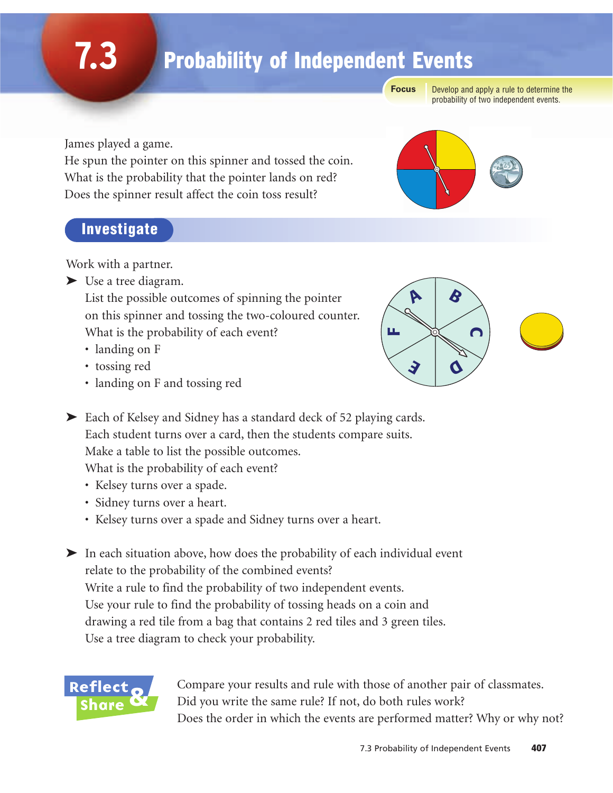**7.3**

# Probability of Independent Events

**Focus**

Develop and apply a rule to determine the probability of two independent events.

James played a game.

He spun the pointer on this spinner and tossed the coin. What is the probability that the pointer lands on red? Does the spinner result affect the coin toss result?

#### Investigate

Work with a partner.

➤ Use a tree diagram.

List the possible outcomes of spinning the pointer on this spinner and tossing the two-coloured counter. What is the probability of each event?

- landing on F
- tossing red
- landing on F and tossing red

➤ Each of Kelsey and Sidney has a standard deck of 52 playing cards. Each student turns over a card, then the students compare suits. Make a table to list the possible outcomes. What is the probability of each event?

- Kelsey turns over a spade.
- Sidney turns over a heart.
- Kelsey turns over a spade and Sidney turns over a heart.

➤ In each situation above, how does the probability of each individual event relate to the probability of the combined events? Write a rule to find the probability of two independent events. Use your rule to find the probability of tossing heads on a coin and drawing a red tile from a bag that contains 2 red tiles and 3 green tiles. Use a tree diagram to check your probability.



Compare your results and rule with those of another pair of classmates. Did you write the same rule? If not, do both rules work? Does the order in which the events are performed matter? Why or why not?

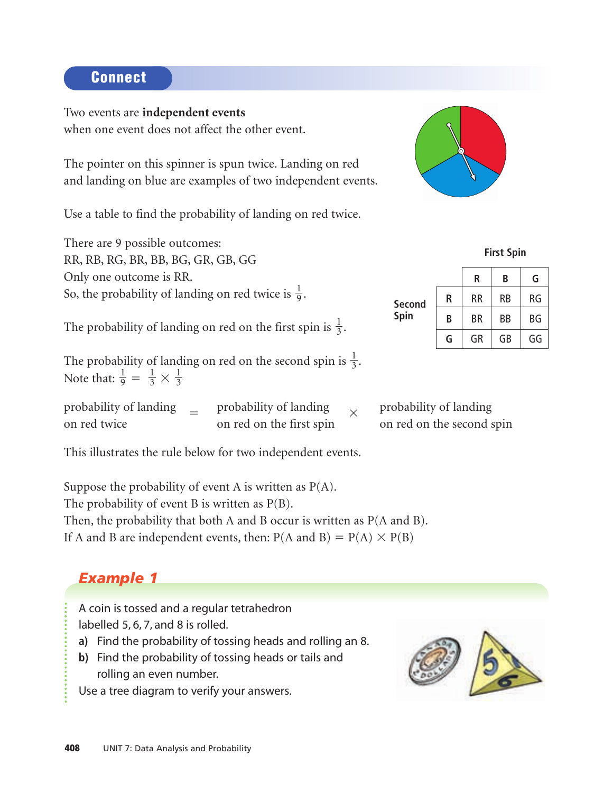#### Connect

Two events are **independent events**  when one event does not affect the other event.

The pointer on this spinner is spun twice. Landing on red and landing on blue are examples of two independent events.

Use a table to find the probability of landing on red twice.

There are 9 possible outcomes: RR, RB, RG, BR, BB, BG, GR, GB, GG Only one outcome is RR. So, the probability of landing on red twice is  $\frac{1}{9}$ . 9

The probability of landing on red on the first spin is  $\frac{1}{3}$ . 3

The probability of landing on red on the second spin is  $\frac{1}{3}$ . Note that:  $\frac{1}{9} = \frac{1}{3} \times \frac{1}{3}$ 3 1 3 1 9 3

| probability of landing | $\overline{\phantom{m}}$ | probability of landing   |  |
|------------------------|--------------------------|--------------------------|--|
| on red twice           |                          | on red on the first spin |  |

This illustrates the rule below for two independent events.

Suppose the probability of event A is written as  $P(A)$ . The probability of event B is written as  $P(B)$ . Then, the probability that both A and B occur is written as P(A and B). If A and B are independent events, then:  $P(A \text{ and } B) = P(A) \times P(B)$ 

## *Example 1*

A coin is tossed and a regular tetrahedron labelled 5, 6, 7, and 8 is rolled.

- **a)** Find the probability of tossing heads and rolling an 8.
- **b)** Find the probability of tossing heads or tails and rolling an even number.

Use a tree diagram to verify your answers.



|                |   | <b>First Spin</b> |           |    |  |
|----------------|---|-------------------|-----------|----|--|
|                |   | R                 | B         | G  |  |
| Second<br>Spin | R | <b>RR</b>         | <b>RB</b> | RG |  |
|                | B | <b>BR</b>         | <b>BB</b> | ΒG |  |
|                | G | GR                | GB        | GG |  |

probability of landing on red on the second spin

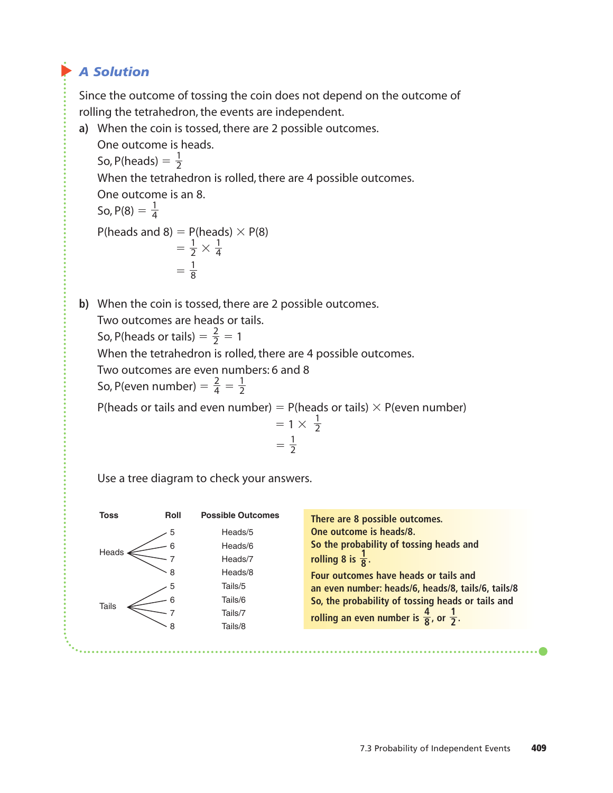#### ▲ *A Solution*

Since the outcome of tossing the coin does not depend on the outcome of rolling the tetrahedron, the events are independent.

- **a)** When the coin is tossed, there are 2 possible outcomes. One outcome is heads. So, P(heads) =  $\frac{1}{2}$ When the tetrahedron is rolled, there are 4 possible outcomes. One outcome is an 8. So, P(8) =  $\frac{1}{4}$  $P(heads and 8) = P(heads) \times P(8)$  $=\frac{1}{2}\times\frac{1}{4}$  $=\frac{1}{8}$ 4 1 2 4 2
- **b)** When the coin is tossed, there are 2 possible outcomes.

Two outcomes are heads or tails.

8

So, P(heads or tails) =  $\frac{2}{2}$  = 1 2

When the tetrahedron is rolled, there are 4 possible outcomes.

Two outcomes are even numbers: 6 and 8

So, P(even number) =  $\frac{2}{4} = \frac{1}{2}$ 2 2 4

P(heads or tails and even number) = P(heads or tails)  $\times$  P(even number)

$$
= 1 \times \frac{1}{2}
$$

$$
= \frac{1}{2}
$$

Use a tree diagram to check your answers.

|   | <b>Possible Outcomes</b> | There are 8 possible outcomes.                               |
|---|--------------------------|--------------------------------------------------------------|
| 5 | Heads/5                  | One outcome is heads/8.                                      |
|   | Heads/6                  | So the probability of tossing heads and                      |
|   | Heads/7                  | rolling 8 is $\frac{1}{8}$ .                                 |
| 8 | Heads/8                  | Four outcomes have heads or tails and                        |
| 5 | Tails/5                  | an even number: heads/6, heads/8, tails/6, tails/8           |
|   | Tails/6                  | So, the probability of tossing heads or tails and            |
|   | Tails/7                  | rolling an even number is $\frac{4}{8}$ , or $\frac{1}{2}$ . |
| 8 | Tails/8                  |                                                              |
|   |                          |                                                              |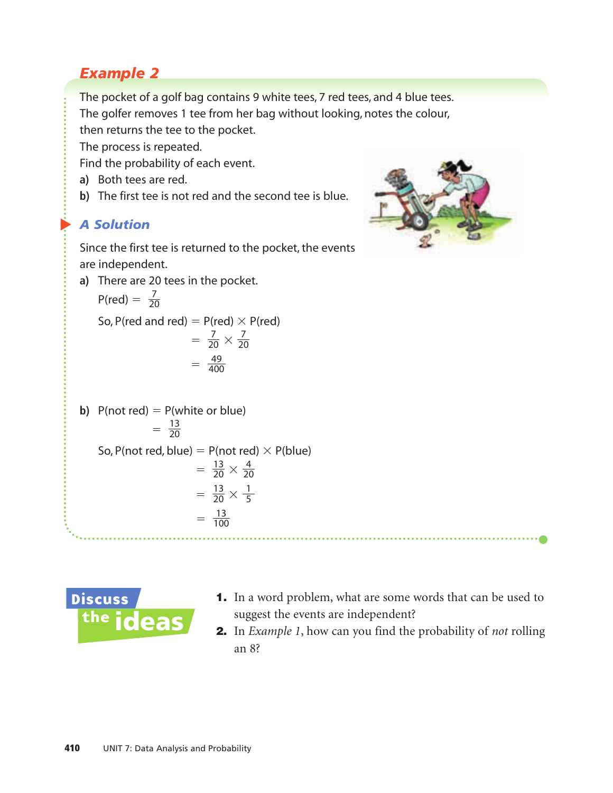## *Example 2*

The pocket of a golf bag contains 9 white tees, 7 red tees, and 4 blue tees. The golfer removes 1 tee from her bag without looking, notes the colour,

then returns the tee to the pocket.

The process is repeated.

Find the probability of each event.

- **a)** Both tees are red.
- **b)** The first tee is not red and the second tee is blue.

#### ▲ *A Solution*

Since the first tee is returned to the pocket, the events are independent.

**a)** There are 20 tees in the pocket.

$$
P(\text{red}) = \frac{7}{20}
$$
  
So, P(\text{red and red}) = P(\text{red}) \times P(\text{red})  
=  $\frac{7}{20} \times \frac{7}{20}$   
=  $\frac{49}{400}$ 

b) P(not red) = P(white or blue)  
\n
$$
= \frac{13}{20}
$$
\nSo, P(not red, blue) = P(not red) × P(blue)  
\n
$$
= \frac{13}{20} \times \frac{4}{20}
$$
\n
$$
= \frac{13}{20} \times \frac{1}{5}
$$
\n
$$
= \frac{13}{100}
$$





- 1. In a word problem, what are some words that can be used to suggest the events are independent?
- 2. In *Example 1*, how can you find the probability of *not* rolling an 8?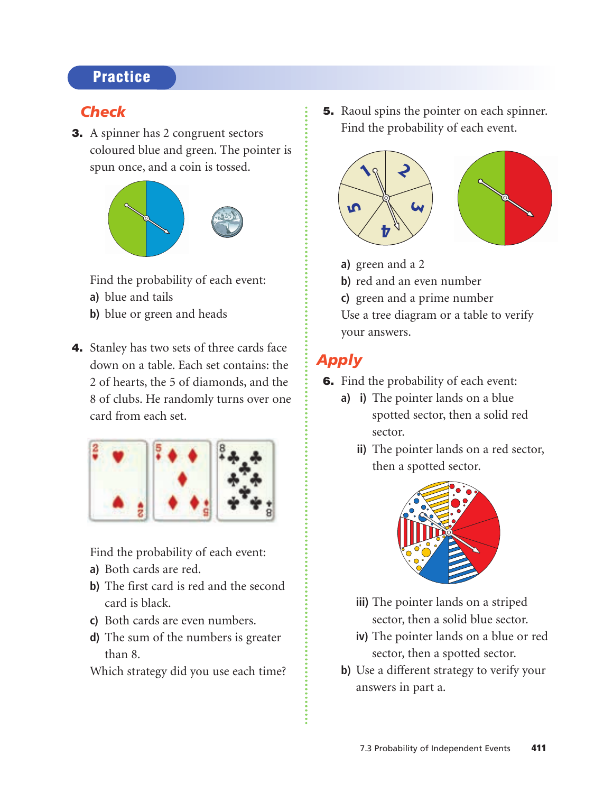#### **Practice**

#### *Check*

3. A spinner has 2 congruent sectors coloured blue and green. The pointer is spun once, and a coin is tossed.



Find the probability of each event:

- **a)** blue and tails
- **b)** blue or green and heads
- 4. Stanley has two sets of three cards face down on a table. Each set contains: the 2 of hearts, the 5 of diamonds, and the 8 of clubs. He randomly turns over one card from each set.



Find the probability of each event:

- **a)** Both cards are red.
- **b)** The first card is red and the second card is black.
- **c)** Both cards are even numbers.
- **d)** The sum of the numbers is greater than 8.

Which strategy did you use each time?

**5.** Raoul spins the pointer on each spinner. Find the probability of each event.



- **a)** green and a 2
- **b**) red and an even number
- **c)** green and a prime number

Use a tree diagram or a table to verify your answers.

#### *Apply*

- 6. Find the probability of each event:
	- **a) i)** The pointer lands on a blue spotted sector, then a solid red sector.
		- **ii)** The pointer lands on a red sector, then a spotted sector.



- **iii)** The pointer lands on a striped sector, then a solid blue sector.
- **iv)** The pointer lands on a blue or red sector, then a spotted sector.
- **b)** Use a different strategy to verify your answers in part a.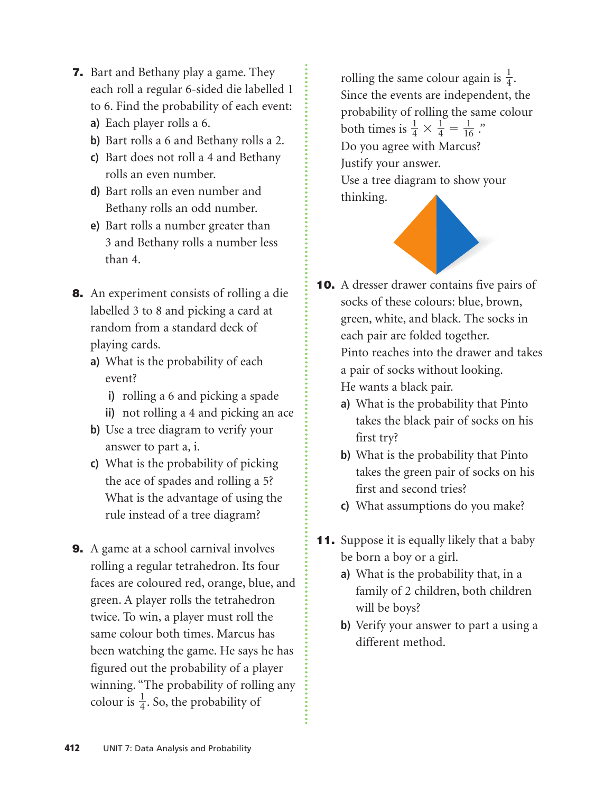- 7. Bart and Bethany play a game. They each roll a regular 6-sided die labelled 1 to 6. Find the probability of each event:
	- **a)** Each player rolls a 6.
	- **b)** Bart rolls a 6 and Bethany rolls a 2.
	- **c)** Bart does not roll a 4 and Bethany rolls an even number.
	- **d)** Bart rolls an even number and Bethany rolls an odd number.
	- **e)** Bart rolls a number greater than 3 and Bethany rolls a number less than 4.
- 8. An experiment consists of rolling a die labelled 3 to 8 and picking a card at random from a standard deck of playing cards.
	- **a)** What is the probability of each event?
		- **i)** rolling a 6 and picking a spade
		- **ii)** not rolling a 4 and picking an ace
	- **b)** Use a tree diagram to verify your answer to part a, i.
	- **c)** What is the probability of picking the ace of spades and rolling a 5? What is the advantage of using the rule instead of a tree diagram?
- 9. A game at a school carnival involves rolling a regular tetrahedron. Its four faces are coloured red, orange, blue, and green. A player rolls the tetrahedron twice. To win, a player must roll the same colour both times. Marcus has been watching the game. He says he has figured out the probability of a player winning. "The probability of rolling any colour is  $\frac{1}{4}$ . So, the probability of 4

rolling the same colour again is  $\frac{1}{4}$ . Since the events are independent, the probability of rolling the same colour both times is  $\frac{1}{4} \times \frac{1}{4} = \frac{1}{16}$ ." Do you agree with Marcus? Justify your answer. Use a tree diagram to show your thinking. 16 1 4 1 4 4



- **10.** A dresser drawer contains five pairs of socks of these colours: blue, brown, green, white, and black. The socks in each pair are folded together. Pinto reaches into the drawer and takes a pair of socks without looking. He wants a black pair.
	- **a)** What is the probability that Pinto takes the black pair of socks on his first try?
	- **b)** What is the probability that Pinto takes the green pair of socks on his first and second tries?
	- **c)** What assumptions do you make?
- **11.** Suppose it is equally likely that a baby be born a boy or a girl.
	- **a)** What is the probability that, in a family of 2 children, both children will be boys?
	- **b)** Verify your answer to part a using a different method.